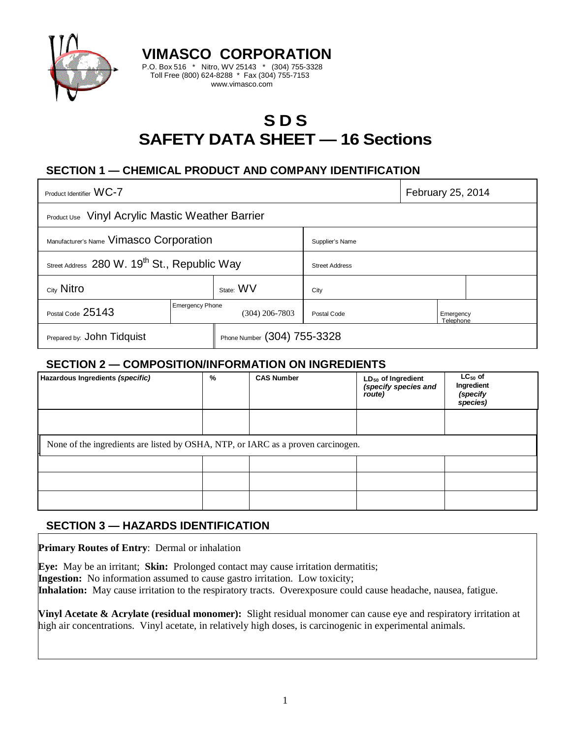

# **S D S SAFETY DATA SHEET — 16 Sections**

# **SECTION 1 — CHEMICAL PRODUCT AND COMPANY IDENTIFICATION**

**VIMASCO CORPORATION** P.O. Box 516 \* Nitro, WV 25143 \* (304) 755-3328 Toll Free (800) 624-8288 \* Fax (304) 755-7153 www.vimasco.com

| Product Identifier WC-7                                  |                                          |                             |                       | February 25, 2014      |  |
|----------------------------------------------------------|------------------------------------------|-----------------------------|-----------------------|------------------------|--|
| <b>Product Use</b> Vinyl Acrylic Mastic Weather Barrier  |                                          |                             |                       |                        |  |
| Manufacturer's Name Vimasco Corporation                  |                                          |                             | Supplier's Name       |                        |  |
| Street Address 280 W. 19 <sup>th</sup> St., Republic Way |                                          |                             | <b>Street Address</b> |                        |  |
| City Nitro                                               |                                          | State: WV                   | City                  |                        |  |
| Postal Code 25143                                        | <b>Emergency Phone</b><br>(304) 206-7803 |                             | Postal Code           | Emergency<br>Telephone |  |
| Prepared by: John Tidquist                               |                                          | Phone Number (304) 755-3328 |                       |                        |  |

### **SECTION 2 — COMPOSITION/INFORMATION ON INGREDIENTS**

| Hazardous Ingredients (specific)                                                 | % | <b>CAS Number</b> | LD <sub>50</sub> of Ingredient<br>(specify species and<br>route) | $LC_{50}$ of<br>Ingredient<br>(specify<br>species) |
|----------------------------------------------------------------------------------|---|-------------------|------------------------------------------------------------------|----------------------------------------------------|
|                                                                                  |   |                   |                                                                  |                                                    |
| None of the ingredients are listed by OSHA, NTP, or IARC as a proven carcinogen. |   |                   |                                                                  |                                                    |
|                                                                                  |   |                   |                                                                  |                                                    |
|                                                                                  |   |                   |                                                                  |                                                    |
|                                                                                  |   |                   |                                                                  |                                                    |

### **SECTION 3 — HAZARDS IDENTIFICATION**

**Primary Routes of Entry**: Dermal or inhalation

**Eye:** May be an irritant; **Skin:** Prolonged contact may cause irritation dermatitis; **Ingestion:** No information assumed to cause gastro irritation. Low toxicity; **Inhalation:** May cause irritation to the respiratory tracts. Overexposure could cause headache, nausea, fatigue.

**Vinyl Acetate & Acrylate (residual monomer):** Slight residual monomer can cause eye and respiratory irritation at high air concentrations. Vinyl acetate, in relatively high doses, is carcinogenic in experimental animals.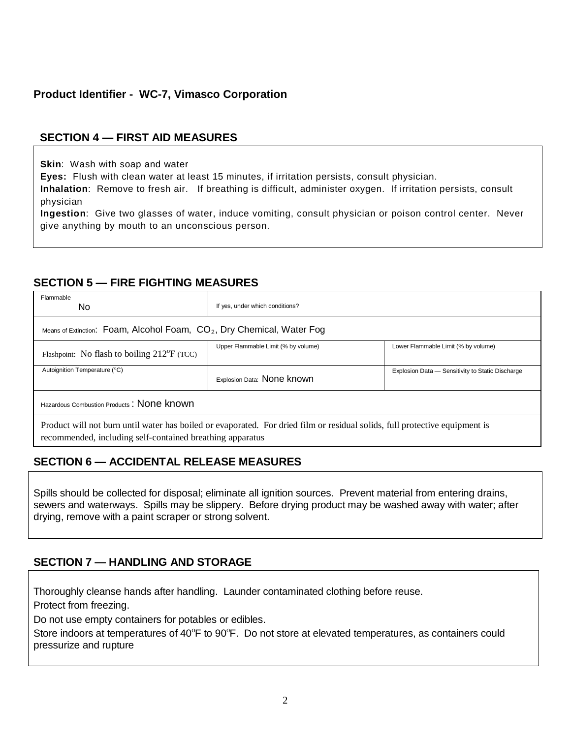# **Product Identifier - WC-7, Vimasco Corporation**

# **SECTION 4 — FIRST AID MEASURES**

**Skin**: Wash with soap and water

**Eyes:** Flush with clean water at least 15 minutes, if irritation persists, consult physician.

**Inhalation**: Remove to fresh air. If breathing is difficult, administer oxygen. If irritation persists, consult physician

**Ingestion**: Give two glasses of water, induce vomiting, consult physician or poison control center. Never give anything by mouth to an unconscious person.

### **SECTION 5 — FIRE FIGHTING MEASURES**

| Flammable<br>No.                                                         | If yes, under which conditions?                                                                                             |                                                  |  |  |  |
|--------------------------------------------------------------------------|-----------------------------------------------------------------------------------------------------------------------------|--------------------------------------------------|--|--|--|
| Means of Extinction: Foam, Alcohol Foam, $CO2$ , Dry Chemical, Water Fog |                                                                                                                             |                                                  |  |  |  |
| Flashpoint: No flash to boiling $212^{\circ}F$ (TCC)                     | Upper Flammable Limit (% by volume)                                                                                         | Lower Flammable Limit (% by volume)              |  |  |  |
| Autoignition Temperature (°C)                                            | Explosion Data: None known                                                                                                  | Explosion Data - Sensitivity to Static Discharge |  |  |  |
| Hazardous Combustion Products: None known                                |                                                                                                                             |                                                  |  |  |  |
| recommended, including self-contained breathing apparatus                | Product will not burn until water has boiled or evaporated. For dried film or residual solids, full protective equipment is |                                                  |  |  |  |

# **SECTION 6 — ACCIDENTAL RELEASE MEASURES**

Spills should be collected for disposal; eliminate all ignition sources. Prevent material from entering drains, sewers and waterways. Spills may be slippery. Before drying product may be washed away with water; after drying, remove with a paint scraper or strong solvent.

# **SECTION 7 — HANDLING AND STORAGE**

Thoroughly cleanse hands after handling. Launder contaminated clothing before reuse.

Protect from freezing.

Do not use empty containers for potables or edibles.

Store indoors at temperatures of 40°F to 90°F. Do not store at elevated temperatures, as containers could pressurize and rupture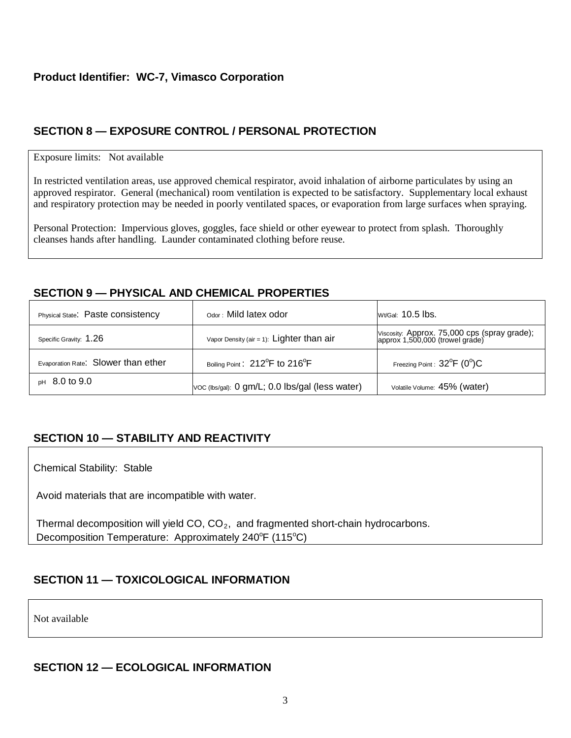# **SECTION 8 — EXPOSURE CONTROL / PERSONAL PROTECTION**

#### Exposure limits: Not available

In restricted ventilation areas, use approved chemical respirator, avoid inhalation of airborne particulates by using an approved respirator. General (mechanical) room ventilation is expected to be satisfactory. Supplementary local exhaust and respiratory protection may be needed in poorly ventilated spaces, or evaporation from large surfaces when spraying.

Personal Protection: Impervious gloves, goggles, face shield or other eyewear to protect from splash. Thoroughly cleanses hands after handling. Launder contaminated clothing before reuse.

# **SECTION 9 — PHYSICAL AND CHEMICAL PROPERTIES**

| Physical State. Paste consistency   | Odor: Mild latex odor                                   | <b>Wt/Gal: 10.5 lbs.</b>                                                        |
|-------------------------------------|---------------------------------------------------------|---------------------------------------------------------------------------------|
| Specific Gravity: 1.26              | Vapor Density (air = 1): $Lighter than air$             | Viscosity: Approx. 75,000 cps (spray grade);<br>approx 1,500,000 (trowel grade) |
| Evaporation Rate: Slower than ether | Boiling Point: 212 <sup>°</sup> F to 216 <sup>°</sup> F | Freezing Point: $32^{\circ}F$ (0°)C                                             |
| $pH$ 8.0 to 9.0                     | VOC (lbs/gal): 0 gm/L; 0.0 lbs/gal (less water)         | Volatile Volume: 45% (water)                                                    |

# **SECTION 10 — STABILITY AND REACTIVITY**

Chemical Stability: Stable

Avoid materials that are incompatible with water.

Thermal decomposition will yield  $CO$ ,  $CO<sub>2</sub>$ , and fragmented short-chain hydrocarbons. Decomposition Temperature: Approximately 240°F (115°C)

# **SECTION 11 — TOXICOLOGICAL INFORMATION**

Not available

# **SECTION 12 — ECOLOGICAL INFORMATION**